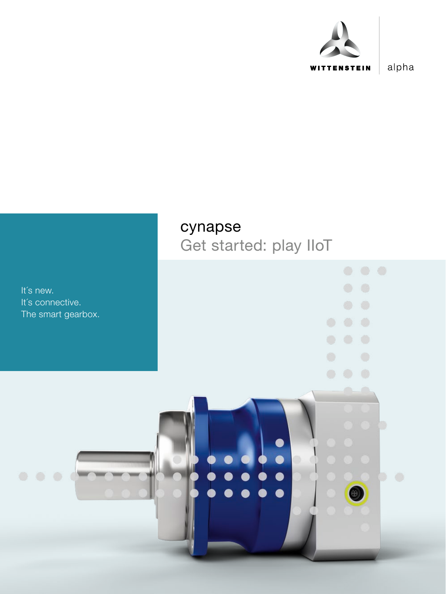

alpha

### cynapse

Get started: play IIoT

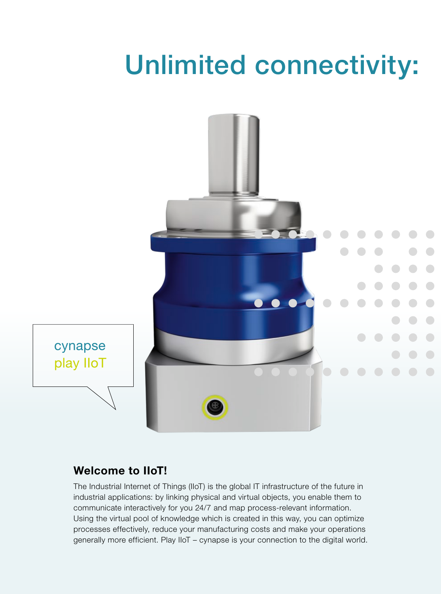## Unlimited connectivity:



#### Welcome to IIoT!

The Industrial Internet of Things (IIoT) is the global IT infrastructure of the future in industrial applications: by linking physical and virtual objects, you enable them to communicate interactively for you 24/7 and map process-relevant information. Using the virtual pool of knowledge which is created in this way, you can optimize processes effectively, reduce your manufacturing costs and make your operations generally more efficient. Play IIoT – cynapse is your connection to the digital world.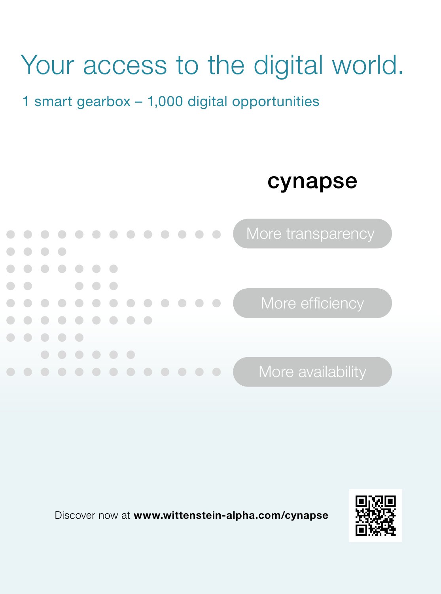# Your access to the digital world.

### 1 smart gearbox – 1,000 digital opportunities





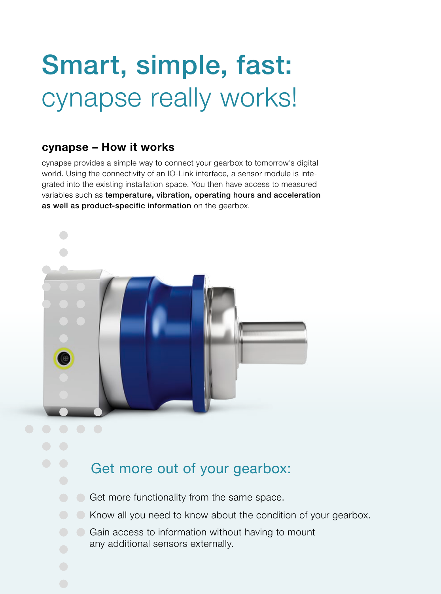## Smart, simple, fast: cynapse really works!

#### cynapse – How it works

cynapse provides a simple way to connect your gearbox to tomorrow's digital world. Using the connectivity of an IO-Link interface, a sensor module is integrated into the existing installation space. You then have access to measured variables such as temperature, vibration, operating hours and acceleration as well as product-specific information on the gearbox.



### Get more out of your gearbox:

- Get more functionality from the same space.
- Know all you need to know about the condition of your gearbox.
	- Gain access to information without having to mount any additional sensors externally.
-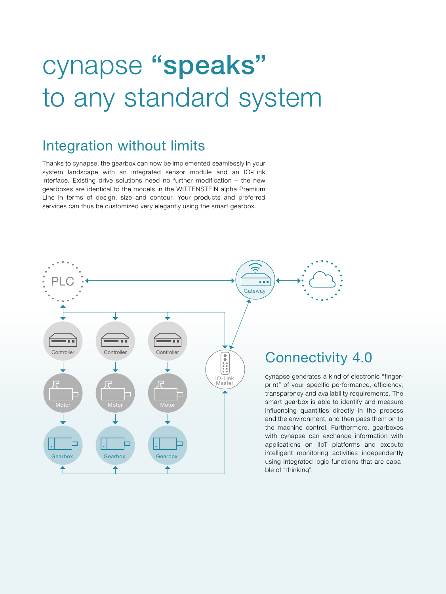## cynapse "speaks" to any standard system

### Integration without limits

Thanks to cynapse, the gearbox can now be implemented seamlessly in your system landscape with an integrated sensor module and an IO-Link interface. Existing drive solutions need no further modification – the new gearboxes are identical to the models in the WITTENSTEIN alpha Premium Line in terms of design, size and contour. Your products and preferred services can thus be customized very elegantly using the smart gearbox.

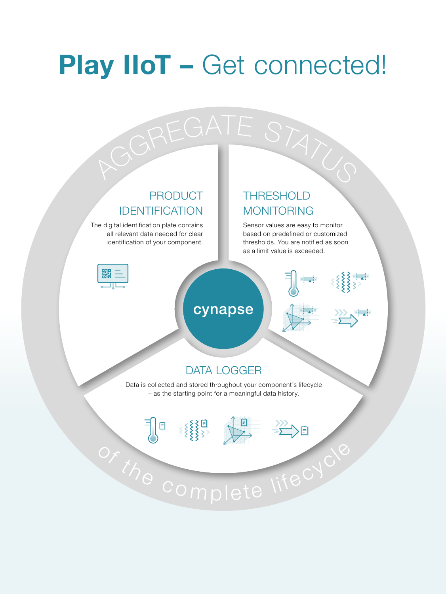## Play IIoT - Get connected!

GREGATE STATUS

#### PRODUCT IDENTIFICATION

The digital identification plate contains all relevant data needed for clear identification of your component.

∃∥®

### THRESHOLD MONITORING

Sensor values are easy to monitor based on predefined or customized thresholds. You are notified as soon as a limit value is exceeded.

)目



### cynapse



### DATA LOGGER

Data is collected and stored throughout your component's lifecycle – as the starting point for a meaningful data history.

or the complete lifecycl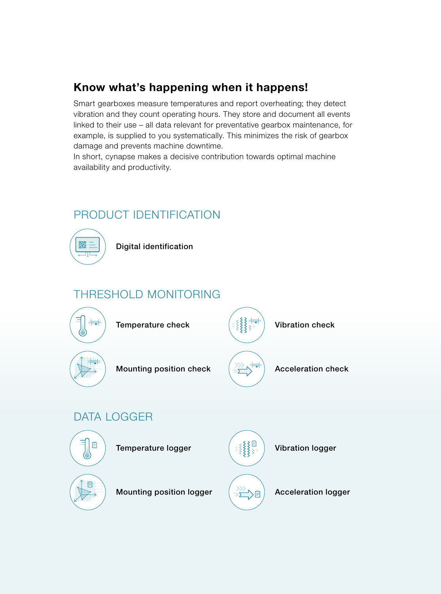#### Know what's happening when it happens!

Smart gearboxes measure temperatures and report overheating; they detect vibration and they count operating hours. They store and document all events linked to their use – all data relevant for preventative gearbox maintenance, for example, is supplied to you systematically. This minimizes the risk of gearbox damage and prevents machine downtime.

In short, cynapse makes a decisive contribution towards optimal machine availability and productivity.

### PRODUCT IDENTIFICATION



Digital identification

### THRESHOLD MONITORING